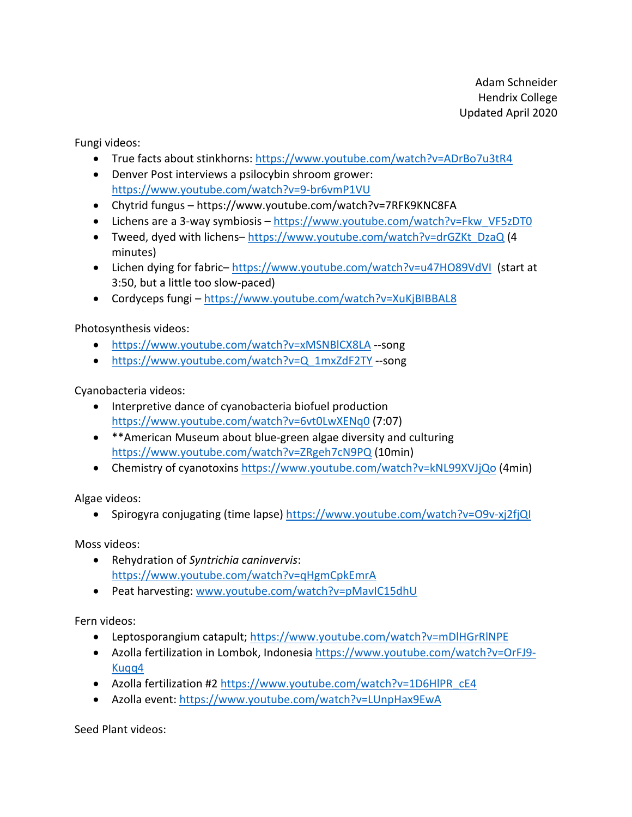Adam Schneider Hendrix College Updated April 2020

Fungi videos:

- True facts about stinkhorns: https://www.youtube.com/watch?v=ADrBo7u3tR4
- Denver Post interviews a psilocybin shroom grower: https://www.youtube.com/watch?v=9-br6vmP1VU
- Chytrid fungus https://www.youtube.com/watch?v=7RFK9KNC8FA
- Lichens are a 3-way symbiosis https://www.youtube.com/watch?v=Fkw\_VF5zDT0
- Tweed, dyed with lichens– https://www.youtube.com/watch?v=drGZKt\_DzaQ (4 minutes)
- Lichen dying for fabric-https://www.youtube.com/watch?v=u47HO89VdVI (start at 3:50, but a little too slow-paced)
- Cordyceps fungi https://www.youtube.com/watch?v=XuKjBIBBAL8

Photosynthesis videos:

- https://www.youtube.com/watch?v=xMSNBlCX8LA --song
- https://www.youtube.com/watch?v=Q\_1mxZdF2TY --song

Cyanobacteria videos:

- Interpretive dance of cyanobacteria biofuel production https://www.youtube.com/watch?v=6vt0LwXENq0 (7:07)
- \*\*American Museum about blue-green algae diversity and culturing https://www.youtube.com/watch?v=ZRgeh7cN9PQ (10min)
- Chemistry of cyanotoxins https://www.youtube.com/watch?v=kNL99XVJjQo (4min)

Algae videos:

• Spirogyra conjugating (time lapse) https://www.youtube.com/watch?v=O9v-xj2fjQl

Moss videos:

- Rehydration of *Syntrichia caninvervis*: https://www.youtube.com/watch?v=qHgmCpkEmrA
- Peat harvesting: www.youtube.com/watch?v=pMavIC15dhU

Fern videos:

- Leptosporangium catapult; https://www.youtube.com/watch?v=mDlHGrRINPE
- Azolla fertilization in Lombok, Indonesia https://www.youtube.com/watch?v=OrFJ9- Kuqq4
- Azolla fertilization #2 https://www.youtube.com/watch?v=1D6HlPR\_cE4
- Azolla event: https://www.youtube.com/watch?v=LUnpHax9EwA

Seed Plant videos: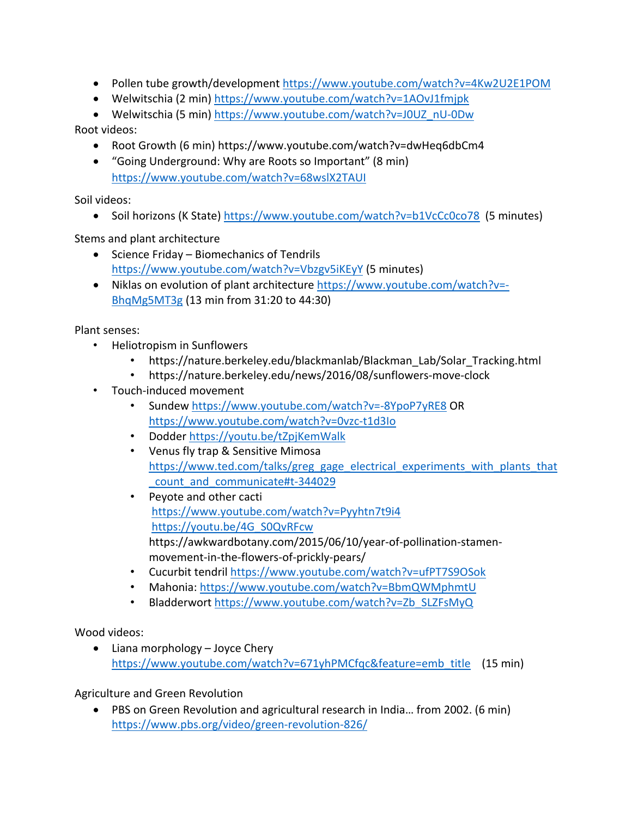- Pollen tube growth/development https://www.youtube.com/watch?v=4Kw2U2E1POM
- Welwitschia (2 min) https://www.youtube.com/watch?v=1AOvJ1fmjpk

• Welwitschia (5 min) https://www.youtube.com/watch?v=J0UZ\_nU-0Dw Root videos:

- Root Growth (6 min) https://www.youtube.com/watch?v=dwHeq6dbCm4
- "Going Underground: Why are Roots so Important" (8 min) https://www.youtube.com/watch?v=68wslX2TAUI

Soil videos:

• Soil horizons (K State) https://www.youtube.com/watch?v=b1VcCc0co78 (5 minutes)

Stems and plant architecture

- Science Friday Biomechanics of Tendrils https://www.youtube.com/watch?v=Vbzgv5iKEyY (5 minutes)
- Niklas on evolution of plant architecture https://www.youtube.com/watch?v=- BhqMg5MT3g (13 min from 31:20 to 44:30)

Plant senses:

- Heliotropism in Sunflowers
	- https://nature.berkeley.edu/blackmanlab/Blackman\_Lab/Solar\_Tracking.html
	- https://nature.berkeley.edu/news/2016/08/sunflowers-move-clock
- Touch-induced movement
	- Sundew https://www.youtube.com/watch?v=-8YpoP7yRE8 OR https://www.youtube.com/watch?v=0vzc-t1d3Io
	- Dodder https://youtu.be/tZpjKemWalk
	- Venus fly trap & Sensitive Mimosa https://www.ted.com/talks/greg\_gage\_electrical\_experiments\_with\_plants\_that \_count\_and\_communicate#t-344029
	- Peyote and other cacti https://www.youtube.com/watch?v=Pyyhtn7t9i4 https://youtu.be/4G\_S0QvRFcw https://awkwardbotany.com/2015/06/10/year-of-pollination-stamenmovement-in-the-flowers-of-prickly-pears/
	- Cucurbit tendril https://www.youtube.com/watch?v=ufPT7S9OSok
	- Mahonia: https://www.youtube.com/watch?v=BbmQWMphmtU
	- Bladderwort https://www.youtube.com/watch?v=Zb\_SLZFsMyQ

Wood videos:

• Liana morphology – Joyce Chery https://www.youtube.com/watch?v=671yhPMCfqc&feature=emb\_title (15 min)

Agriculture and Green Revolution

• PBS on Green Revolution and agricultural research in India… from 2002. (6 min) https://www.pbs.org/video/green-revolution-826/